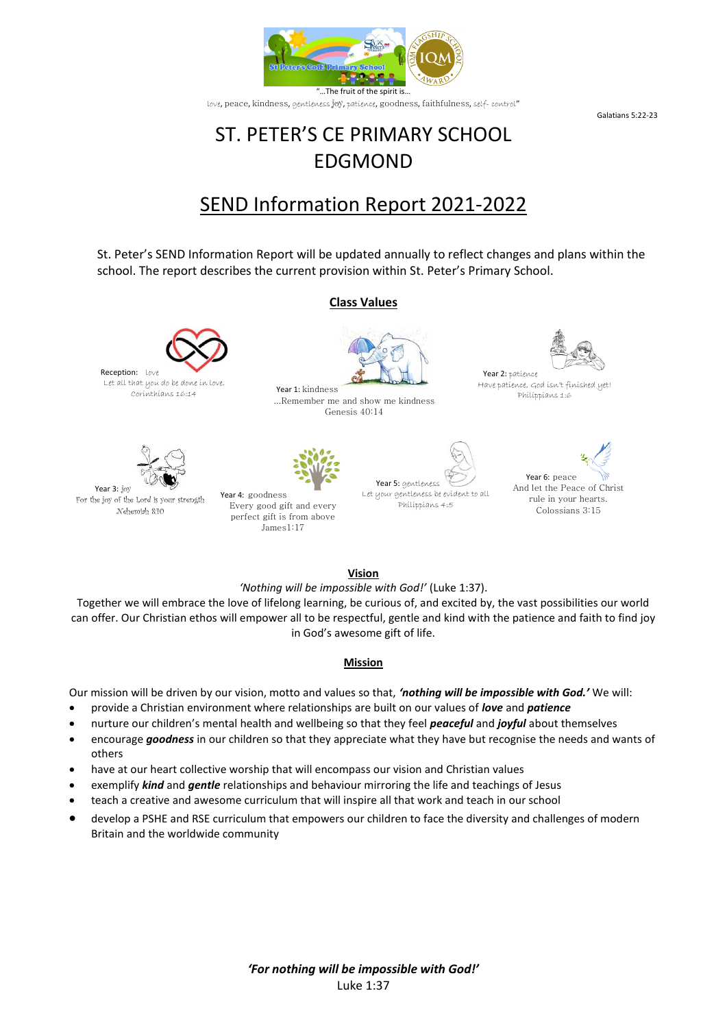

Galatians 5:22-23

# ST. PETER'S CE PRIMARY SCHOOL EDGMOND

# SEND Information Report 2021-2022

St. Peter's SEND Information Report will be updated annually to reflect changes and plans within the school. The report describes the current provision within St. Peter's Primary School.

#### **Class Values**

...Remember me and show me kindness Genesis 40:14





Year 2: patience Have patience, God isn't finished yet! Philippians 1:6



Let all that you do be done in love.

Year 3: joy For the joy of the Lord is your strength Nehemiah 8:10

Reception: Love



Every good gift and every perfect gift is from above James1:17





Year 6: peace And let the Peace of Christ rule in your hearts. Colossians 3:15

**Vision**

*'Nothing will be impossible with God!'* (Luke 1:37).

Together we will embrace the love of lifelong learning, be curious of, and excited by, the vast possibilities our world can offer. Our Christian ethos will empower all to be respectful, gentle and kind with the patience and faith to find joy in God's awesome gift of life.

#### **Mission**

Our mission will be driven by our vision, motto and values so that, *'nothing will be impossible with God.'* We will:

- provide a Christian environment where relationships are built on our values of *love* and *patience*
- nurture our children's mental health and wellbeing so that they feel *peaceful* and *joyful* about themselves
- encourage *goodness* in our children so that they appreciate what they have but recognise the needs and wants of others
- have at our heart collective worship that will encompass our vision and Christian values
- exemplify *kind* and *gentle* relationships and behaviour mirroring the life and teachings of Jesus
- teach a creative and awesome curriculum that will inspire all that work and teach in our school
- develop a PSHE and RSE curriculum that empowers our children to face the diversity and challenges of modern Britain and the worldwide community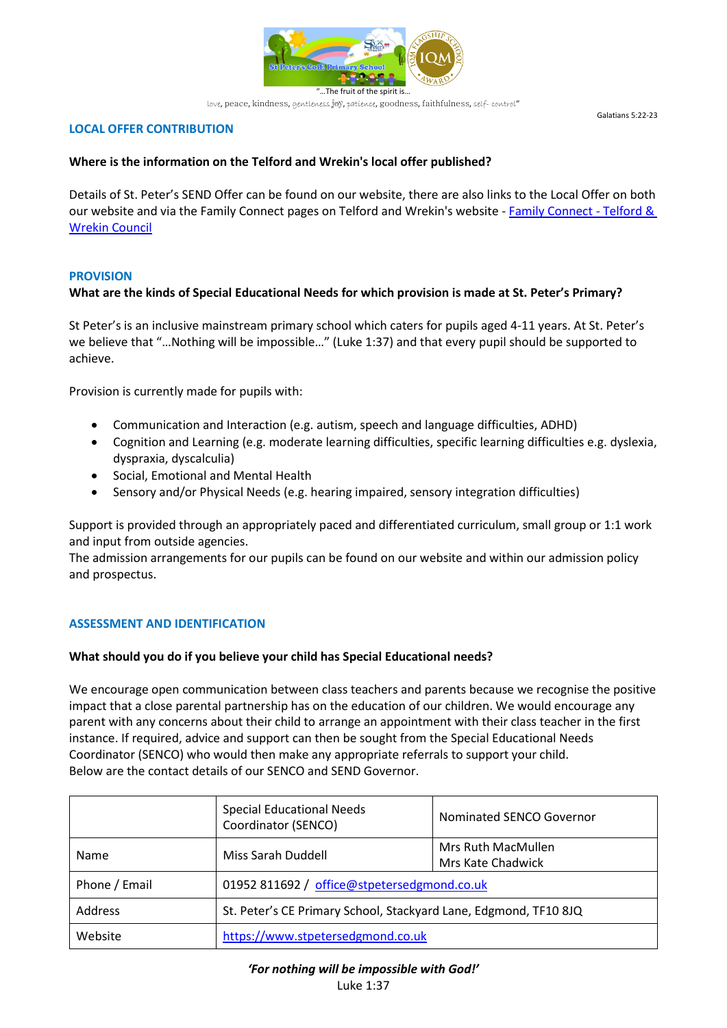

Galatians 5:22-23

# **LOCAL OFFER CONTRIBUTION**

# **Where is the information on the Telford and Wrekin's local offer published?**

Details of St. Peter's SEND Offer can be found on our website, there are also links to the Local Offer on both our website and via the Family Connect pages on Telford and Wrekin's website - [Family Connect -](https://www.telford.gov.uk/info/20223/family_connect_service_directory) Telford & [Wrekin Council](https://www.telford.gov.uk/info/20223/family_connect_service_directory)

## **PROVISION**

# **What are the kinds of Special Educational Needs for which provision is made at St. Peter's Primary?**

St Peter's is an inclusive mainstream primary school which caters for pupils aged 4-11 years. At St. Peter's we believe that "…Nothing will be impossible…" (Luke 1:37) and that every pupil should be supported to achieve.

Provision is currently made for pupils with:

- Communication and Interaction (e.g. autism, speech and language difficulties, ADHD)
- Cognition and Learning (e.g. moderate learning difficulties, specific learning difficulties e.g. dyslexia, dyspraxia, dyscalculia)
- Social, Emotional and Mental Health
- Sensory and/or Physical Needs (e.g. hearing impaired, sensory integration difficulties)

Support is provided through an appropriately paced and differentiated curriculum, small group or 1:1 work and input from outside agencies.

The admission arrangements for our pupils can be found on our website and within our admission policy and prospectus.

## **ASSESSMENT AND IDENTIFICATION**

## **What should you do if you believe your child has Special Educational needs?**

We encourage open communication between class teachers and parents because we recognise the positive impact that a close parental partnership has on the education of our children. We would encourage any parent with any concerns about their child to arrange an appointment with their class teacher in the first instance. If required, advice and support can then be sought from the Special Educational Needs Coordinator (SENCO) who would then make any appropriate referrals to support your child. Below are the contact details of our SENCO and SEND Governor.

|               | <b>Special Educational Needs</b><br>Coordinator (SENCO)          | Nominated SENCO Governor                |
|---------------|------------------------------------------------------------------|-----------------------------------------|
| Name          | Miss Sarah Duddell                                               | Mrs Ruth MacMullen<br>Mrs Kate Chadwick |
| Phone / Email | 01952 811692 / office@stpetersedgmond.co.uk                      |                                         |
| Address       | St. Peter's CE Primary School, Stackyard Lane, Edgmond, TF10 8JQ |                                         |
| Website       | https://www.stpetersedgmond.co.uk                                |                                         |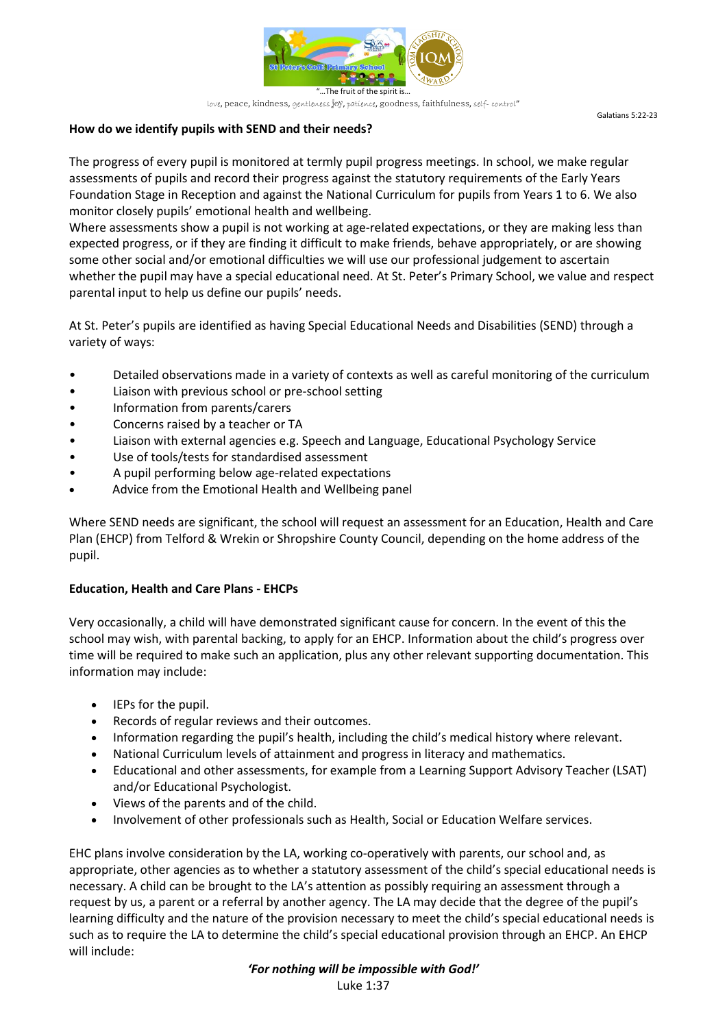

Galatians 5:22-23

# **How do we identify pupils with SEND and their needs?**

The progress of every pupil is monitored at termly pupil progress meetings. In school, we make regular assessments of pupils and record their progress against the statutory requirements of the Early Years Foundation Stage in Reception and against the National Curriculum for pupils from Years 1 to 6. We also monitor closely pupils' emotional health and wellbeing.

Where assessments show a pupil is not working at age-related expectations, or they are making less than expected progress, or if they are finding it difficult to make friends, behave appropriately, or are showing some other social and/or emotional difficulties we will use our professional judgement to ascertain whether the pupil may have a special educational need. At St. Peter's Primary School, we value and respect parental input to help us define our pupils' needs.

At St. Peter's pupils are identified as having Special Educational Needs and Disabilities (SEND) through a variety of ways:

- Detailed observations made in a variety of contexts as well as careful monitoring of the curriculum
- Liaison with previous school or pre-school setting
- Information from parents/carers
- Concerns raised by a teacher or TA
- Liaison with external agencies e.g. Speech and Language, Educational Psychology Service
- Use of tools/tests for standardised assessment
- A pupil performing below age-related expectations
- Advice from the Emotional Health and Wellbeing panel

Where SEND needs are significant, the school will request an assessment for an Education, Health and Care Plan (EHCP) from Telford & Wrekin or Shropshire County Council, depending on the home address of the pupil.

## **Education, Health and Care Plans - EHCPs**

Very occasionally, a child will have demonstrated significant cause for concern. In the event of this the school may wish, with parental backing, to apply for an EHCP. Information about the child's progress over time will be required to make such an application, plus any other relevant supporting documentation. This information may include:

- IEPs for the pupil.
- Records of regular reviews and their outcomes.
- Information regarding the pupil's health, including the child's medical history where relevant.
- National Curriculum levels of attainment and progress in literacy and mathematics.
- Educational and other assessments, for example from a Learning Support Advisory Teacher (LSAT) and/or Educational Psychologist.
- Views of the parents and of the child.
- Involvement of other professionals such as Health, Social or Education Welfare services.

EHC plans involve consideration by the LA, working co-operatively with parents, our school and, as appropriate, other agencies as to whether a statutory assessment of the child's special educational needs is necessary. A child can be brought to the LA's attention as possibly requiring an assessment through a request by us, a parent or a referral by another agency. The LA may decide that the degree of the pupil's learning difficulty and the nature of the provision necessary to meet the child's special educational needs is such as to require the LA to determine the child's special educational provision through an EHCP. An EHCP will include:

> *'For nothing will be impossible with God!'* Luke 1:37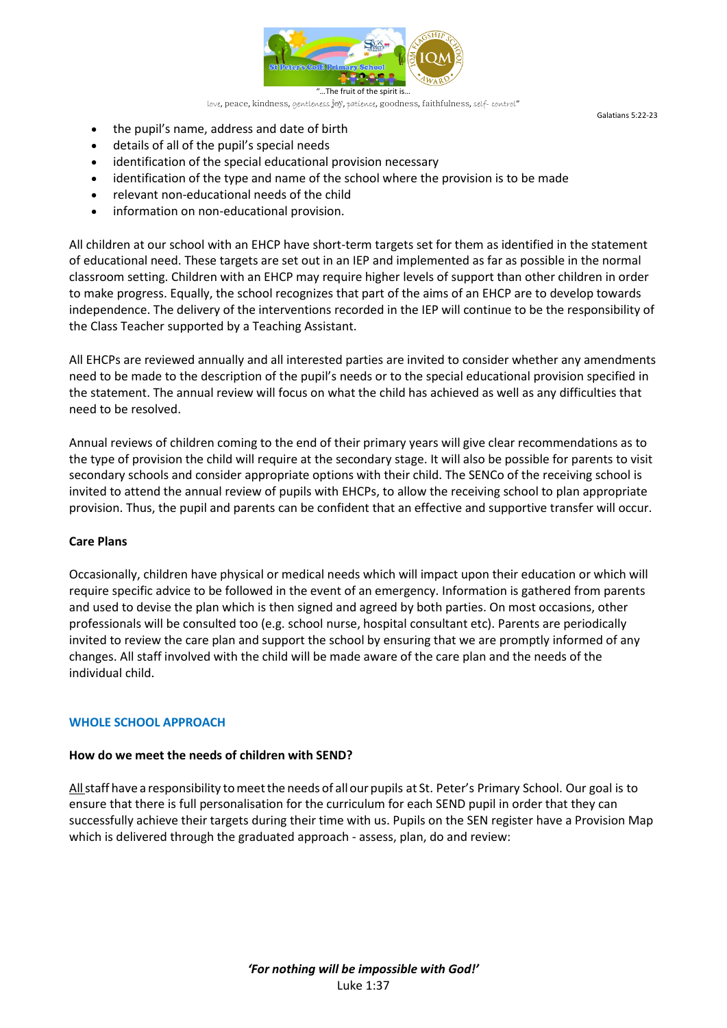

Galatians 5:22-23

- the pupil's name, address and date of birth
- details of all of the pupil's special needs
- identification of the special educational provision necessary
- identification of the type and name of the school where the provision is to be made
- relevant non-educational needs of the child
- information on non-educational provision.

All children at our school with an EHCP have short-term targets set for them as identified in the statement of educational need. These targets are set out in an IEP and implemented as far as possible in the normal classroom setting. Children with an EHCP may require higher levels of support than other children in order to make progress. Equally, the school recognizes that part of the aims of an EHCP are to develop towards independence. The delivery of the interventions recorded in the IEP will continue to be the responsibility of the Class Teacher supported by a Teaching Assistant.

All EHCPs are reviewed annually and all interested parties are invited to consider whether any amendments need to be made to the description of the pupil's needs or to the special educational provision specified in the statement. The annual review will focus on what the child has achieved as well as any difficulties that need to be resolved.

Annual reviews of children coming to the end of their primary years will give clear recommendations as to the type of provision the child will require at the secondary stage. It will also be possible for parents to visit secondary schools and consider appropriate options with their child. The SENCo of the receiving school is invited to attend the annual review of pupils with EHCPs, to allow the receiving school to plan appropriate provision. Thus, the pupil and parents can be confident that an effective and supportive transfer will occur.

## **Care Plans**

Occasionally, children have physical or medical needs which will impact upon their education or which will require specific advice to be followed in the event of an emergency. Information is gathered from parents and used to devise the plan which is then signed and agreed by both parties. On most occasions, other professionals will be consulted too (e.g. school nurse, hospital consultant etc). Parents are periodically invited to review the care plan and support the school by ensuring that we are promptly informed of any changes. All staff involved with the child will be made aware of the care plan and the needs of the individual child.

## **WHOLE SCHOOL APPROACH**

## **How do we meet the needs of children with SEND?**

Allstaff have a responsibility tomeetthe needs of allour pupils at St. Peter's Primary School. Our goal is to ensure that there is full personalisation for the curriculum for each SEND pupil in order that they can successfully achieve their targets during their time with us. Pupils on the SEN register have a Provision Map which is delivered through the graduated approach - assess, plan, do and review: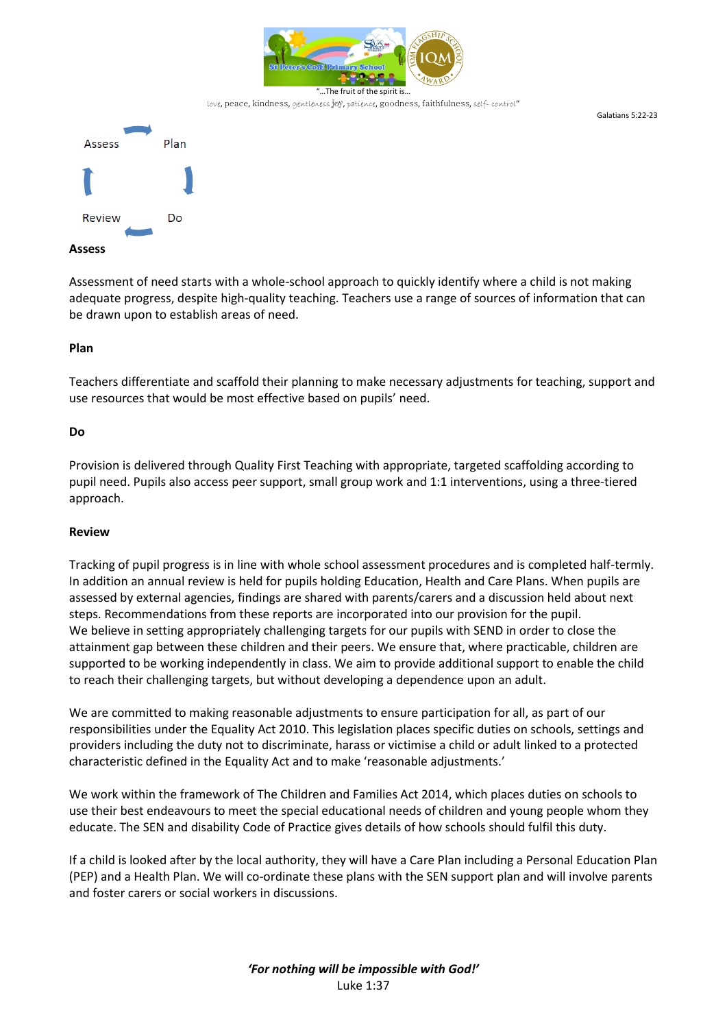

Galatians 5:22-23



Assessment of need starts with a whole-school approach to quickly identify where a child is not making adequate progress, despite high-quality teaching. Teachers use a range of sources of information that can be drawn upon to establish areas of need.

#### **Plan**

Teachers differentiate and scaffold their planning to make necessary adjustments for teaching, support and use resources that would be most effective based on pupils' need.

#### **Do**

Provision is delivered through Quality First Teaching with appropriate, targeted scaffolding according to pupil need. Pupils also access peer support, small group work and 1:1 interventions, using a three-tiered approach.

#### **Review**

Tracking of pupil progress is in line with whole school assessment procedures and is completed half-termly. In addition an annual review is held for pupils holding Education, Health and Care Plans. When pupils are assessed by external agencies, findings are shared with parents/carers and a discussion held about next steps. Recommendations from these reports are incorporated into our provision for the pupil. We believe in setting appropriately challenging targets for our pupils with SEND in order to close the attainment gap between these children and their peers. We ensure that, where practicable, children are supported to be working independently in class. We aim to provide additional support to enable the child to reach their challenging targets, but without developing a dependence upon an adult.

We are committed to making reasonable adjustments to ensure participation for all, as part of our responsibilities under the Equality Act 2010. This legislation places specific duties on schools, settings and providers including the duty not to discriminate, harass or victimise a child or adult linked to a protected characteristic defined in the Equality Act and to make 'reasonable adjustments.'

We work within the framework of The Children and Families Act 2014, which places duties on schools to use their best endeavours to meet the special educational needs of children and young people whom they educate. The SEN and disability Code of Practice gives details of how schools should fulfil this duty.

If a child is looked after by the local authority, they will have a Care Plan including a Personal Education Plan (PEP) and a Health Plan. We will co-ordinate these plans with the SEN support plan and will involve parents and foster carers or social workers in discussions.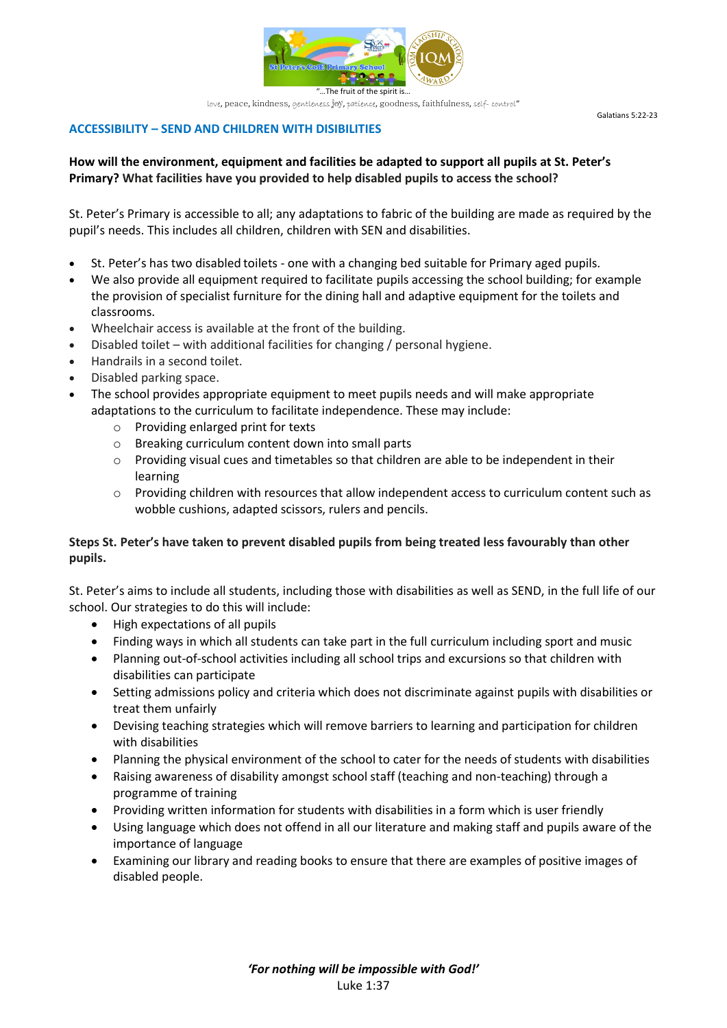

Galatians 5:22-23

**ACCESSIBILITY – SEND AND CHILDREN WITH DISIBILITIES**

# **How will the environment, equipment and facilities be adapted to support all pupils at St. Peter's Primary? What facilities have you provided to help disabled pupils to access the school?**

St. Peter's Primary is accessible to all; any adaptations to fabric of the building are made as required by the pupil's needs. This includes all children, children with SEN and disabilities.

- St. Peter's has two disabled toilets one with a changing bed suitable for Primary aged pupils.
- We also provide all equipment required to facilitate pupils accessing the school building; for example the provision of specialist furniture for the dining hall and adaptive equipment for the toilets and classrooms.
- Wheelchair access is available at the front of the building.
- Disabled toilet with additional facilities for changing / personal hygiene.
- Handrails in a second toilet.
- Disabled parking space.
- The school provides appropriate equipment to meet pupils needs and will make appropriate adaptations to the curriculum to facilitate independence. These may include:
	- o Providing enlarged print for texts
	- o Breaking curriculum content down into small parts
	- o Providing visual cues and timetables so that children are able to be independent in their learning
	- $\circ$  Providing children with resources that allow independent access to curriculum content such as wobble cushions, adapted scissors, rulers and pencils.

# **Steps St. Peter's have taken to prevent disabled pupils from being treated less favourably than other pupils.**

St. Peter's aims to include all students, including those with disabilities as well as SEND, in the full life of our school. Our strategies to do this will include:

- High expectations of all pupils
- Finding ways in which all students can take part in the full curriculum including sport and music
- Planning out-of-school activities including all school trips and excursions so that children with disabilities can participate
- Setting admissions policy and criteria which does not discriminate against pupils with disabilities or treat them unfairly
- Devising teaching strategies which will remove barriers to learning and participation for children with disabilities
- Planning the physical environment of the school to cater for the needs of students with disabilities
- Raising awareness of disability amongst school staff (teaching and non-teaching) through a programme of training
- Providing written information for students with disabilities in a form which is user friendly
- Using language which does not offend in all our literature and making staff and pupils aware of the importance of language
- Examining our library and reading books to ensure that there are examples of positive images of disabled people.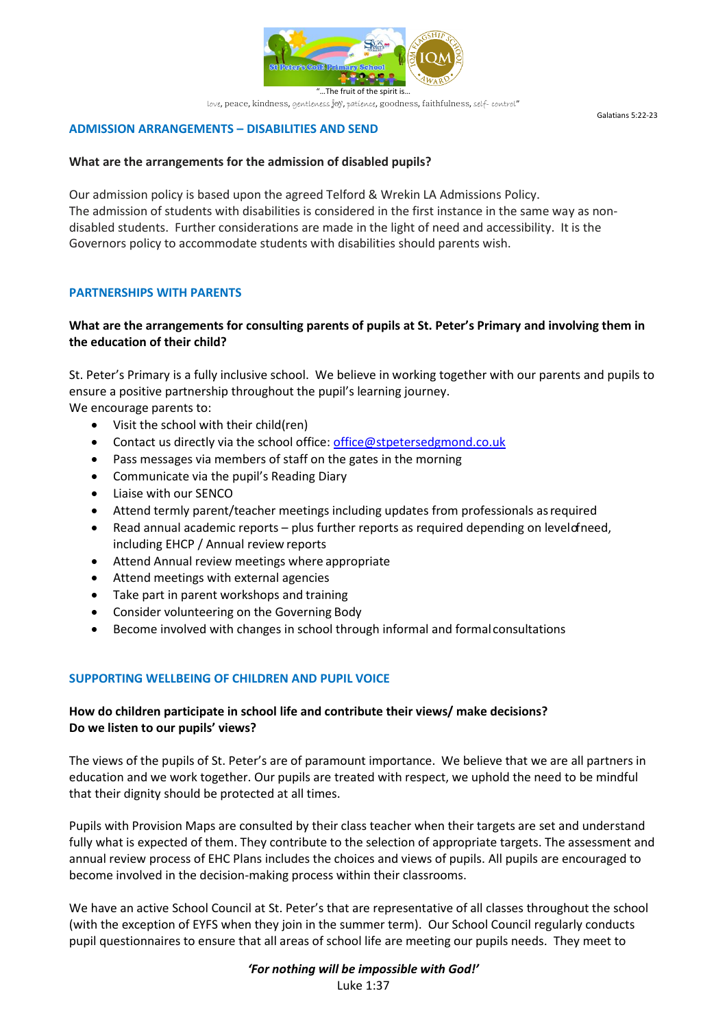

#### **ADMISSION ARRANGEMENTS – DISABILITIES AND SEND**

#### **What are the arrangements for the admission of disabled pupils?**

Our admission policy is based upon the agreed Telford & Wrekin LA Admissions Policy. The admission of students with disabilities is considered in the first instance in the same way as nondisabled students. Further considerations are made in the light of need and accessibility. It is the Governors policy to accommodate students with disabilities should parents wish.

## **PARTNERSHIPS WITH PARENTS**

# **What are the arrangements for consulting parents of pupils at St. Peter's Primary and involving them in the education of their child?**

St. Peter's Primary is a fully inclusive school. We believe in working together with our parents and pupils to ensure a positive partnership throughout the pupil's learning journey. We encourage parents to:

- Visit the school with their child(ren)
- Contact us directly via the school office: [office@stpetersedgmond.co.uk](mailto:office@stpetersedgmond.co.uk)
- Pass messages via members of staff on the gates in the morning
- Communicate via the pupil's Reading Diary
- Liaise with our SENCO
- Attend termly parent/teacher meetings including updates from professionals asrequired
- Read annual academic reports plus further reports as required depending on levelof need, including EHCP / Annual review reports
- Attend Annual review meetings where appropriate
- Attend meetings with external agencies
- Take part in parent workshops and training
- Consider volunteering on the Governing Body
- Become involved with changes in school through informal and formalconsultations

## **SUPPORTING WELLBEING OF CHILDREN AND PUPIL VOICE**

# **How do children participate in school life and contribute their views/ make decisions? Do we listen to our pupils' views?**

The views of the pupils of St. Peter's are of paramount importance. We believe that we are all partners in education and we work together. Our pupils are treated with respect, we uphold the need to be mindful that their dignity should be protected at all times.

Pupils with Provision Maps are consulted by their class teacher when their targets are set and understand fully what is expected of them. They contribute to the selection of appropriate targets. The assessment and annual review process of EHC Plans includes the choices and views of pupils. All pupils are encouraged to become involved in the decision-making process within their classrooms.

We have an active School Council at St. Peter's that are representative of all classes throughout the school (with the exception of EYFS when they join in the summer term). Our School Council regularly conducts pupil questionnaires to ensure that all areas of school life are meeting our pupils needs. They meet to

> *'For nothing will be impossible with God!'* Luke 1:37

Galatians 5:22-23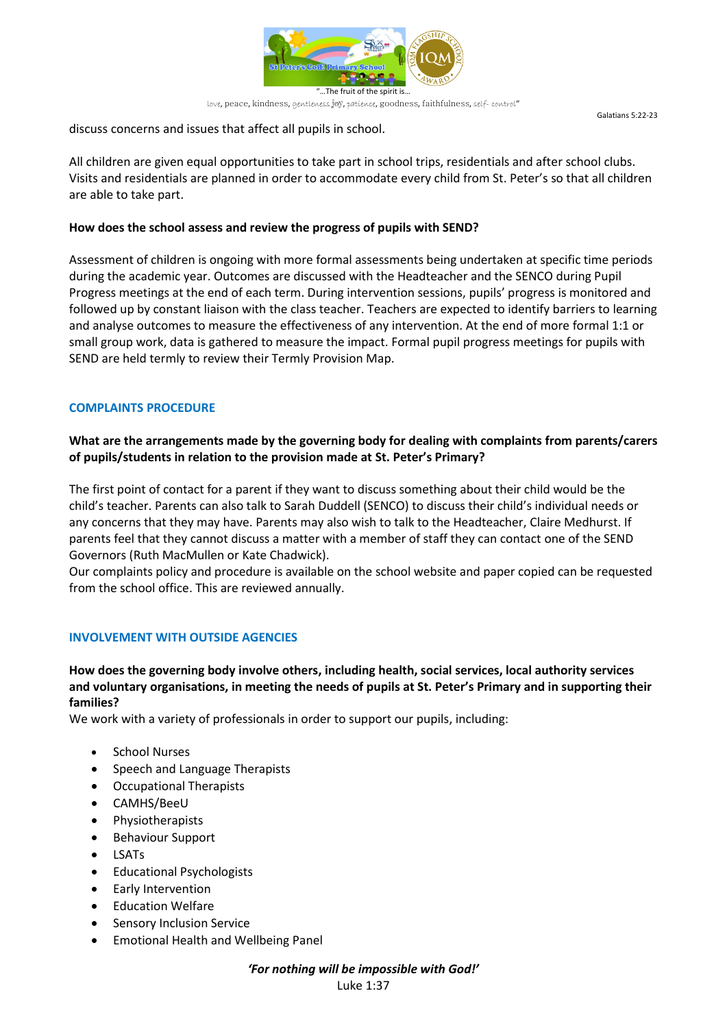

Galatians 5:22-23

discuss concerns and issues that affect all pupils in school.

All children are given equal opportunities to take part in school trips, residentials and after school clubs. Visits and residentials are planned in order to accommodate every child from St. Peter's so that all children are able to take part.

# **How does the school assess and review the progress of pupils with SEND?**

Assessment of children is ongoing with more formal assessments being undertaken at specific time periods during the academic year. Outcomes are discussed with the Headteacher and the SENCO during Pupil Progress meetings at the end of each term. During intervention sessions, pupils' progress is monitored and followed up by constant liaison with the class teacher. Teachers are expected to identify barriers to learning and analyse outcomes to measure the effectiveness of any intervention. At the end of more formal 1:1 or small group work, data is gathered to measure the impact. Formal pupil progress meetings for pupils with SEND are held termly to review their Termly Provision Map.

# **COMPLAINTS PROCEDURE**

# **What are the arrangements made by the governing body for dealing with complaints from parents/carers of pupils/students in relation to the provision made at St. Peter's Primary?**

The first point of contact for a parent if they want to discuss something about their child would be the child's teacher. Parents can also talk to Sarah Duddell (SENCO) to discuss their child's individual needs or any concerns that they may have. Parents may also wish to talk to the Headteacher, Claire Medhurst. If parents feel that they cannot discuss a matter with a member of staff they can contact one of the SEND Governors (Ruth MacMullen or Kate Chadwick).

Our complaints policy and procedure is available on the school website and paper copied can be requested from the school office. This are reviewed annually.

# **INVOLVEMENT WITH OUTSIDE AGENCIES**

# **How does the governing body involve others, including health, social services, local authority services and voluntary organisations, in meeting the needs of pupils at St. Peter's Primary and in supporting their families?**

We work with a variety of professionals in order to support our pupils, including:

- School Nurses
- Speech and Language Therapists
- Occupational Therapists
- CAMHS/BeeU
- Physiotherapists
- Behaviour Support
- LSATs
- Educational Psychologists
- Early Intervention
- **Education Welfare**
- Sensory Inclusion Service
- Emotional Health and Wellbeing Panel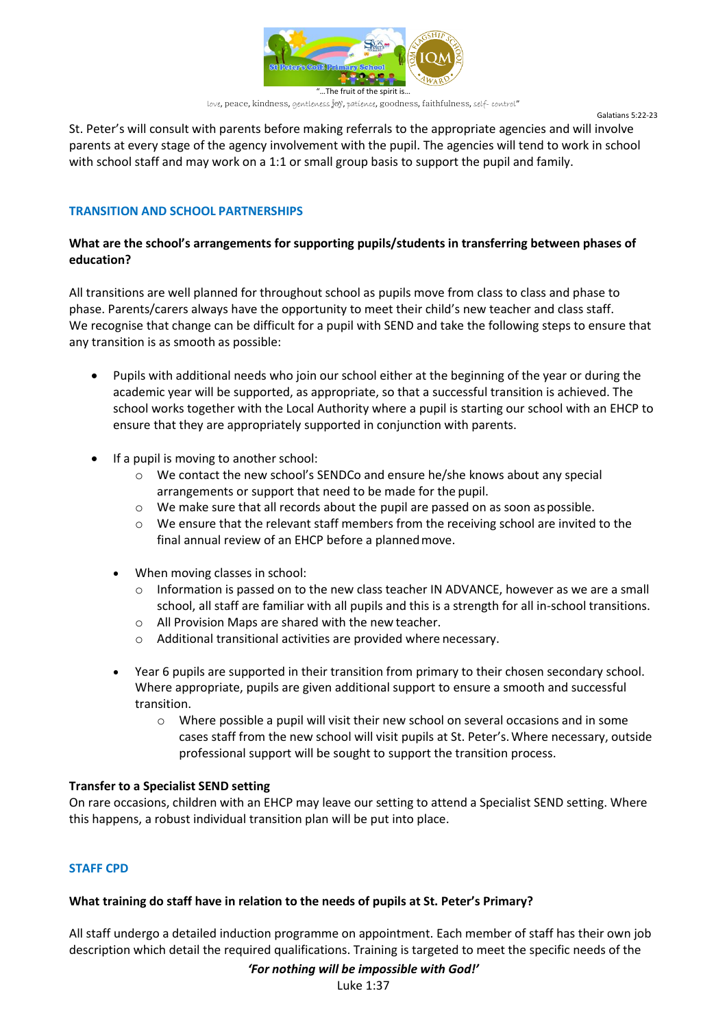

Galatians 5:22-23

St. Peter's will consult with parents before making referrals to the appropriate agencies and will involve parents at every stage of the agency involvement with the pupil. The agencies will tend to work in school with school staff and may work on a 1:1 or small group basis to support the pupil and family.

# **TRANSITION AND SCHOOL PARTNERSHIPS**

# **What are the school's arrangements for supporting pupils/students in transferring between phases of education?**

All transitions are well planned for throughout school as pupils move from class to class and phase to phase. Parents/carers always have the opportunity to meet their child's new teacher and class staff. We recognise that change can be difficult for a pupil with SEND and take the following steps to ensure that any transition is as smooth as possible:

- Pupils with additional needs who join our school either at the beginning of the year or during the academic year will be supported, as appropriate, so that a successful transition is achieved. The school works together with the Local Authority where a pupil is starting our school with an EHCP to ensure that they are appropriately supported in conjunction with parents.
- If a pupil is moving to another school:
	- o We contact the new school's SENDCo and ensure he/she knows about any special arrangements or support that need to be made for the pupil.
	- $\circ$  We make sure that all records about the pupil are passed on as soon as possible.
	- $\circ$  We ensure that the relevant staff members from the receiving school are invited to the final annual review of an EHCP before a plannedmove.
	- When moving classes in school:
		- $\circ$  Information is passed on to the new class teacher IN ADVANCE, however as we are a small school, all staff are familiar with all pupils and this is a strength for all in-school transitions.
		- o All Provision Maps are shared with the new teacher.
		- o Additional transitional activities are provided where necessary.
	- Year 6 pupils are supported in their transition from primary to their chosen secondary school. Where appropriate, pupils are given additional support to ensure a smooth and successful transition.
		- o Where possible a pupil will visit their new school on several occasions and in some cases staff from the new school will visit pupils at St. Peter's.Where necessary, outside professional support will be sought to support the transition process.

## **Transfer to a Specialist SEND setting**

On rare occasions, children with an EHCP may leave our setting to attend a Specialist SEND setting. Where this happens, a robust individual transition plan will be put into place.

# **STAFF CPD**

## **What training do staff have in relation to the needs of pupils at St. Peter's Primary?**

All staff undergo a detailed induction programme on appointment. Each member of staff has their own job description which detail the required qualifications. Training is targeted to meet the specific needs of the

#### *'For nothing will be impossible with God!'*

Luke 1:37